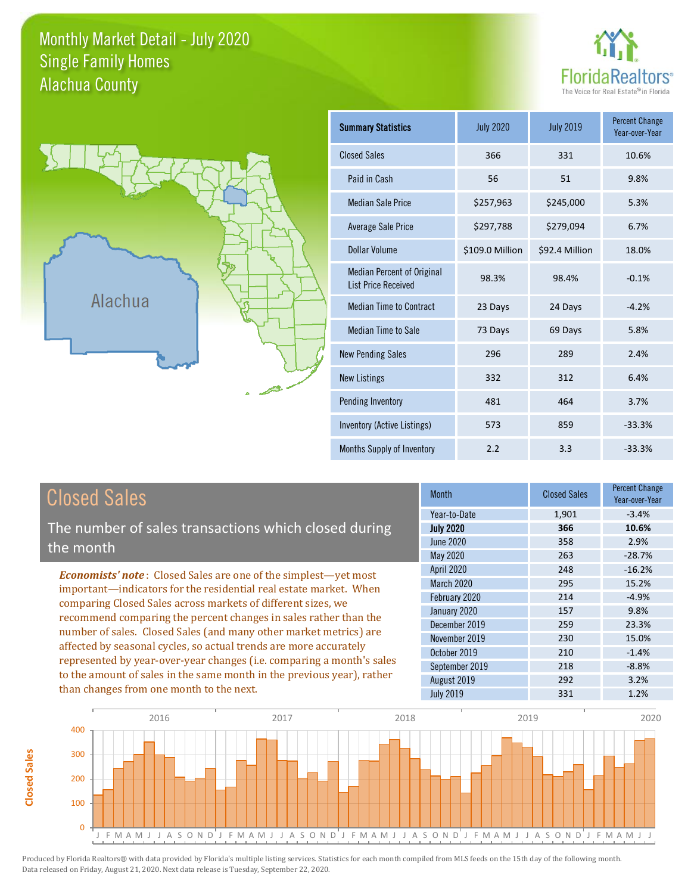### Monthly Market Detail - July 2020 Alachua County Single Family Homes





**Closed Sales**

**Closed Sales** 

| <b>Summary Statistics</b>                                       | <b>July 2020</b> | <b>July 2019</b> | <b>Percent Change</b><br>Year-over-Year |
|-----------------------------------------------------------------|------------------|------------------|-----------------------------------------|
| <b>Closed Sales</b>                                             | 366              | 331              | 10.6%                                   |
| Paid in Cash                                                    | 56               | 51               | 9.8%                                    |
| <b>Median Sale Price</b>                                        | \$257,963        | \$245,000        | 5.3%                                    |
| <b>Average Sale Price</b>                                       | \$297,788        | \$279,094        | 6.7%                                    |
| Dollar Volume                                                   | \$109.0 Million  | \$92.4 Million   | 18.0%                                   |
| <b>Median Percent of Original</b><br><b>List Price Received</b> | 98.3%            | 98.4%            | $-0.1%$                                 |
| <b>Median Time to Contract</b>                                  | 23 Days          | 24 Days          | $-4.2%$                                 |
| <b>Median Time to Sale</b>                                      | 73 Days          | 69 Days          | 5.8%                                    |
| <b>New Pending Sales</b>                                        | 296              | 289              | 2.4%                                    |
| <b>New Listings</b>                                             | 332              | 312              | 6.4%                                    |
| Pending Inventory                                               | 481              | 464              | 3.7%                                    |
| Inventory (Active Listings)                                     | 573              | 859              | $-33.3%$                                |
| Months Supply of Inventory                                      | 2.2              | 3.3              | $-33.3%$                                |

| <b>Closed Sales</b>                                                                                                                                                                                                                                                                                                                                                                                                                                                                                                                                                                                                      | <b>Month</b>                                                                                                                                                            | <b>Closed Sales</b>                                                | <b>Percent Change</b><br>Year-over-Year                                                      |
|--------------------------------------------------------------------------------------------------------------------------------------------------------------------------------------------------------------------------------------------------------------------------------------------------------------------------------------------------------------------------------------------------------------------------------------------------------------------------------------------------------------------------------------------------------------------------------------------------------------------------|-------------------------------------------------------------------------------------------------------------------------------------------------------------------------|--------------------------------------------------------------------|----------------------------------------------------------------------------------------------|
| The number of sales transactions which closed during<br>the month                                                                                                                                                                                                                                                                                                                                                                                                                                                                                                                                                        | Year-to-Date<br><b>July 2020</b><br><b>June 2020</b><br>May 2020                                                                                                        | 1,901<br>366<br>358<br>263                                         | $-3.4%$<br>10.6%<br>2.9%<br>$-28.7%$                                                         |
| <b>Economists' note:</b> Closed Sales are one of the simplest—yet most<br>important-indicators for the residential real estate market. When<br>comparing Closed Sales across markets of different sizes, we<br>recommend comparing the percent changes in sales rather than the<br>number of sales. Closed Sales (and many other market metrics) are<br>affected by seasonal cycles, so actual trends are more accurately<br>represented by year-over-year changes (i.e. comparing a month's sales<br>to the amount of sales in the same month in the previous year), rather<br>than changes from one month to the next. | <b>April 2020</b><br>March 2020<br>February 2020<br>January 2020<br>December 2019<br>November 2019<br>October 2019<br>September 2019<br>August 2019<br><b>July 2019</b> | 248<br>295<br>214<br>157<br>259<br>230<br>210<br>218<br>292<br>331 | $-16.2%$<br>15.2%<br>$-4.9%$<br>9.8%<br>23.3%<br>15.0%<br>$-1.4%$<br>$-8.8%$<br>3.2%<br>1.2% |

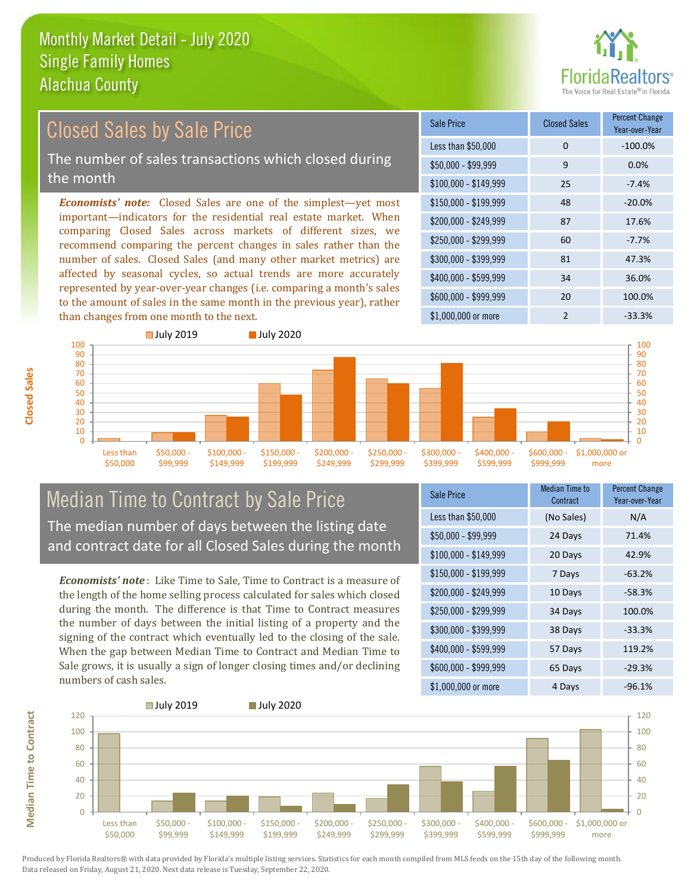

### \$100,000 - \$149,999 25 -7.4% Sale Price Closed Sales Percent Change Year-over-Year Less than \$50,000 0 0 -100.0%  $$50,000 - $99,999$  9 0.0% \$150,000 - \$199,999 48 -20.0% \$200,000 - \$249,999 87 17.6% \$400,000 - \$599,999 34 36.0% \$600,000 - \$999,999 20 100.0% *Economists' note:* Closed Sales are one of the simplest—yet most important—indicators for the residential real estate market. When comparing Closed Sales across markets of different sizes, we recommend comparing the percent changes in sales rather than the number of sales. Closed Sales (and many other market metrics) are affected by seasonal cycles, so actual trends are more accurately represented by year-over-year changes (i.e. comparing a month's sales to the amount of sales in the same month in the previous year), rather than changes from one month to the next. \$1,000,000 or more 2 33.3%  $$250,000 - $299,999$  60 -7.7% \$300,000 - \$399,999 81 47.3% Closed Sales by Sale Price The number of sales transactions which closed during the month



### Median Time to Contract by Sale Price The median number of days between the listing date and contract date for all Closed Sales during the month

*Economists' note* : Like Time to Sale, Time to Contract is a measure of the length of the home selling process calculated for sales which closed during the month. The difference is that Time to Contract measures the number of days between the initial listing of a property and the signing of the contract which eventually led to the closing of the sale. When the gap between Median Time to Contract and Median Time to Sale grows, it is usually a sign of longer closing times and/or declining numbers of cash sales.

| Sale Price            | <b>Median Time to</b><br>Contract | <b>Percent Change</b><br>Year-over-Year |
|-----------------------|-----------------------------------|-----------------------------------------|
| Less than \$50,000    | (No Sales)                        | N/A                                     |
| $$50,000 - $99,999$   | 24 Days                           | 71.4%                                   |
| $$100,000 - $149,999$ | 20 Days                           | 42.9%                                   |
| $$150,000 - $199,999$ | 7 Days                            | $-63.2%$                                |
| \$200,000 - \$249,999 | 10 Days                           | $-58.3%$                                |
| \$250,000 - \$299,999 | 34 Days                           | 100.0%                                  |
| \$300,000 - \$399,999 | 38 Days                           | $-33.3%$                                |
| \$400,000 - \$599,999 | 57 Days                           | 119.2%                                  |
| \$600,000 - \$999,999 | 65 Days                           | $-29.3%$                                |
| \$1,000,000 or more   | 4 Days                            | $-96.1%$                                |



**Closed Sales**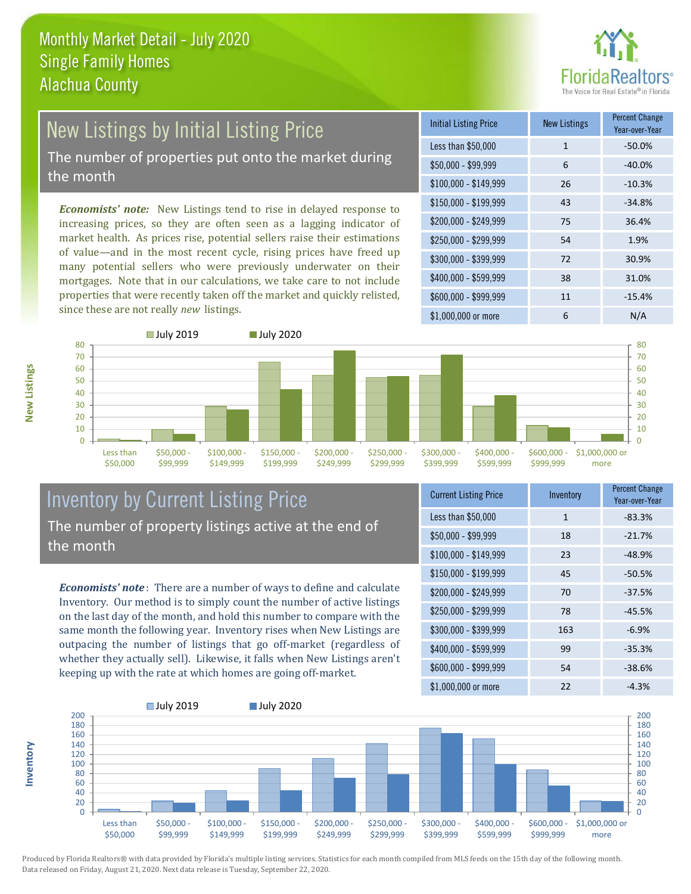

# New Listings by Initial Listing Price The number of properties put onto the market during

the month

*Economists' note:* New Listings tend to rise in delayed response to increasing prices, so they are often seen as a lagging indicator of market health. As prices rise, potential sellers raise their estimations of value—and in the most recent cycle, rising prices have freed up many potential sellers who were previously underwater on their mortgages. Note that in our calculations, we take care to not include properties that were recently taken off the market and quickly relisted, since these are not really *new* listings.

| <b>Initial Listing Price</b> | <b>New Listings</b> | <b>Percent Change</b><br>Year-over-Year |
|------------------------------|---------------------|-----------------------------------------|
| Less than \$50,000           | $\mathbf{1}$        | $-50.0%$                                |
| $$50,000 - $99,999$          | 6                   | $-40.0%$                                |
| $$100,000 - $149,999$        | 26                  | $-10.3%$                                |
| $$150,000 - $199,999$        | 43                  | $-34.8%$                                |
| \$200,000 - \$249,999        | 75                  | 36.4%                                   |
| \$250,000 - \$299,999        | 54                  | 1.9%                                    |
| \$300,000 - \$399,999        | 72                  | 30.9%                                   |
| \$400,000 - \$599,999        | 38                  | 31.0%                                   |
| \$600,000 - \$999,999        | 11                  | $-15.4%$                                |
| \$1,000,000 or more          | 6                   | N/A                                     |



### Inventory by Current Listing Price The number of property listings active at the end of the month

*Economists' note* : There are a number of ways to define and calculate Inventory. Our method is to simply count the number of active listings on the last day of the month, and hold this number to compare with the same month the following year. Inventory rises when New Listings are outpacing the number of listings that go off-market (regardless of whether they actually sell). Likewise, it falls when New Listings aren't keeping up with the rate at which homes are going off-market.

| <b>Current Listing Price</b> | Inventory | <b>Percent Change</b><br>Year-over-Year |
|------------------------------|-----------|-----------------------------------------|
| Less than \$50,000           | 1         | $-83.3%$                                |
| $$50,000 - $99,999$          | 18        | $-21.7%$                                |
| $$100,000 - $149,999$        | 23        | $-48.9%$                                |
| $$150,000 - $199,999$        | 45        | $-50.5%$                                |
| \$200,000 - \$249,999        | 70        | $-37.5%$                                |
| \$250,000 - \$299,999        | 78        | $-45.5%$                                |
| \$300,000 - \$399,999        | 163       | $-6.9%$                                 |
| \$400,000 - \$599,999        | 99        | $-35.3%$                                |
| \$600,000 - \$999,999        | 54        | $-38.6%$                                |
| \$1,000,000 or more          | 22        | $-4.3%$                                 |



Produced by Florida Realtors® with data provided by Florida's multiple listing services. Statistics for each month compiled from MLS feeds on the 15th day of the following month. Data released on Friday, August 21, 2020. Next data release is Tuesday, September 22, 2020.

**Inventory**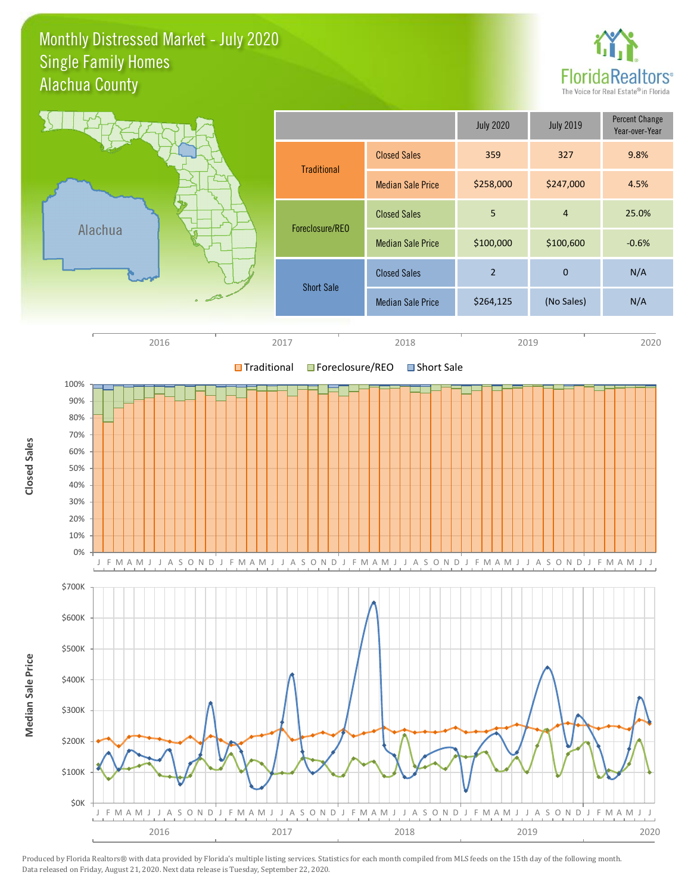### Monthly Distressed Market - July 2020 Alachua County Single Family Homes



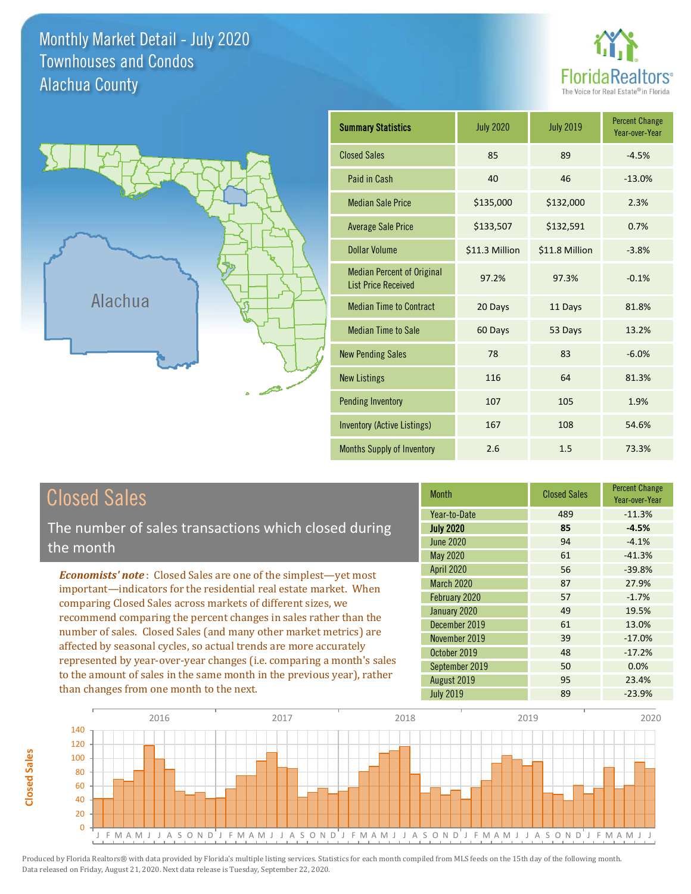Monthly Market Detail - July 2020 Alachua County Townhouses and Condos



Percent Change Year-over-Year



| <b>Summary Statistics</b>                                       | <b>July 2020</b> | <b>July 2019</b> | <b>Percent Change</b><br>Year-over-Year |
|-----------------------------------------------------------------|------------------|------------------|-----------------------------------------|
| <b>Closed Sales</b>                                             | 85               | 89               | $-4.5%$                                 |
| Paid in Cash                                                    | 40               | 46               | $-13.0%$                                |
| <b>Median Sale Price</b>                                        | \$135,000        | \$132,000        | 2.3%                                    |
| <b>Average Sale Price</b>                                       | \$133,507        | \$132,591        | 0.7%                                    |
| Dollar Volume                                                   | \$11.3 Million   | \$11.8 Million   | $-3.8%$                                 |
| <b>Median Percent of Original</b><br><b>List Price Received</b> | 97.2%            | 97.3%            | $-0.1%$                                 |
| <b>Median Time to Contract</b>                                  | 20 Days          | 11 Days          | 81.8%                                   |
| <b>Median Time to Sale</b>                                      | 60 Days          | 53 Days          | 13.2%                                   |
| <b>New Pending Sales</b>                                        | 78               | 83               | $-6.0%$                                 |
| <b>New Listings</b>                                             | 116              | 64               | 81.3%                                   |
| <b>Pending Inventory</b>                                        | 107              | 105              | 1.9%                                    |
| Inventory (Active Listings)                                     | 167              | 108              | 54.6%                                   |
| Months Supply of Inventory                                      | 2.6              | 1.5              | 73.3%                                   |

| Closed Sales                                                                                                                                                                                                                                                                    | <b>Month</b>                           | <b>Closed Sales</b> |
|---------------------------------------------------------------------------------------------------------------------------------------------------------------------------------------------------------------------------------------------------------------------------------|----------------------------------------|---------------------|
| The number of sales transactions which closed during                                                                                                                                                                                                                            | Year-to-Date<br><b>July 2020</b>       | 489<br>85           |
| the month                                                                                                                                                                                                                                                                       | <b>June 2020</b><br>May 2020           | 94<br>61            |
| <b>Economists' note:</b> Closed Sales are one of the simplest—yet most<br>important-indicators for the residential real estate market. When<br>comparing Closed Sales across markets of different sizes, we<br>recommend comparing the percent changes in sales rather than the | <b>April 2020</b><br><b>March 2020</b> | 56<br>87            |
|                                                                                                                                                                                                                                                                                 | February 2020<br>January 2020          | 57<br>49            |
| number of sales. Closed Sales (and many other market metrics) are                                                                                                                                                                                                               | December 2019<br>November 2010         | 61<br>30            |

affected by seasonal cycles, so actual trends are more accurately represented by year-over-year changes (i.e. comparing a month's sales to the amount of sales in the same month in the previous year), rather than changes from one month to the next.

**Closed Sales**

**Closed Sales** 

| Year-to-Date      | 489 | $-11.3%$ |
|-------------------|-----|----------|
| <b>July 2020</b>  | 85  | $-4.5%$  |
| <b>June 2020</b>  | 94  | $-4.1%$  |
| May 2020          | 61  | $-41.3%$ |
| <b>April 2020</b> | 56  | $-39.8%$ |
| March 2020        | 87  | 27.9%    |
| February 2020     | 57  | $-1.7%$  |
| January 2020      | 49  | 19.5%    |
| December 2019     | 61  | 13.0%    |
| November 2019     | 39  | $-17.0%$ |
| October 2019      | 48  | $-17.2%$ |
| September 2019    | 50  | 0.0%     |
| August 2019       | 95  | 23.4%    |
| <b>July 2019</b>  | 89  | $-23.9%$ |
|                   |     |          |

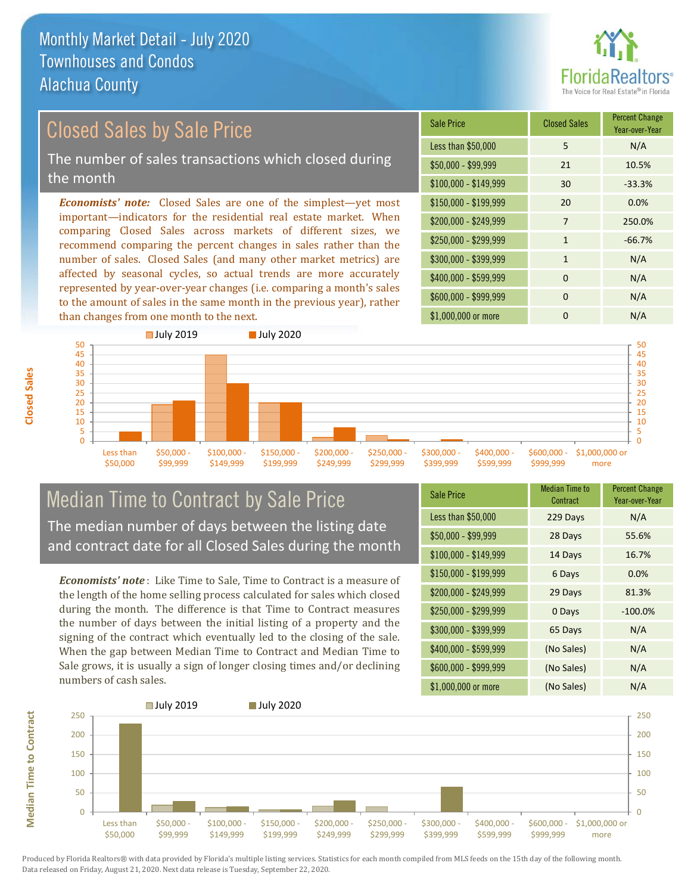

# Closed Sales by Sale Price

The number of sales transactions which closed during the month

*Economists' note:* Closed Sales are one of the simplest—yet most important—indicators for the residential real estate market. When comparing Closed Sales across markets of different sizes, we recommend comparing the percent changes in sales rather than the number of sales. Closed Sales (and many other market metrics) are affected by seasonal cycles, so actual trends are more accurately represented by year-over-year changes (i.e. comparing a month's sales to the amount of sales in the same month in the previous year), rather than changes from one month to the next.

| <b>Sale Price</b>     | <b>Closed Sales</b> | <b>Percent Change</b><br>Year-over-Year |
|-----------------------|---------------------|-----------------------------------------|
| Less than \$50,000    | 5                   | N/A                                     |
| $$50,000 - $99,999$   | 21                  | 10.5%                                   |
| $$100,000 - $149,999$ | 30                  | $-33.3%$                                |
| \$150,000 - \$199,999 | 20                  | 0.0%                                    |
| \$200,000 - \$249,999 | 7                   | 250.0%                                  |
| \$250,000 - \$299,999 | $\mathbf{1}$        | $-66.7%$                                |
| \$300,000 - \$399,999 | $\mathbf{1}$        | N/A                                     |
| \$400,000 - \$599,999 | $\Omega$            | N/A                                     |
| \$600,000 - \$999,999 | $\Omega$            | N/A                                     |
| \$1,000,000 or more   | O                   | N/A                                     |



### Median Time to Contract by Sale Price The median number of days between the listing date and contract date for all Closed Sales during the month

*Economists' note* : Like Time to Sale, Time to Contract is a measure of the length of the home selling process calculated for sales which closed during the month. The difference is that Time to Contract measures the number of days between the initial listing of a property and the signing of the contract which eventually led to the closing of the sale. When the gap between Median Time to Contract and Median Time to Sale grows, it is usually a sign of longer closing times and/or declining numbers of cash sales.

| <b>Sale Price</b>     | Median Time to<br>Contract | <b>Percent Change</b><br>Year-over-Year |
|-----------------------|----------------------------|-----------------------------------------|
| Less than \$50,000    | 229 Days                   | N/A                                     |
| $$50,000 - $99,999$   | 28 Days                    | 55.6%                                   |
| $$100,000 - $149,999$ | 14 Days                    | 16.7%                                   |
| $$150,000 - $199,999$ | 6 Days                     | 0.0%                                    |
| \$200,000 - \$249,999 | 29 Days                    | 81.3%                                   |
| \$250,000 - \$299,999 | 0 Days                     | $-100.0%$                               |
| \$300,000 - \$399,999 | 65 Days                    | N/A                                     |
| \$400,000 - \$599,999 | (No Sales)                 | N/A                                     |
| \$600,000 - \$999,999 | (No Sales)                 | N/A                                     |
| \$1,000,000 or more   | (No Sales)                 | N/A                                     |

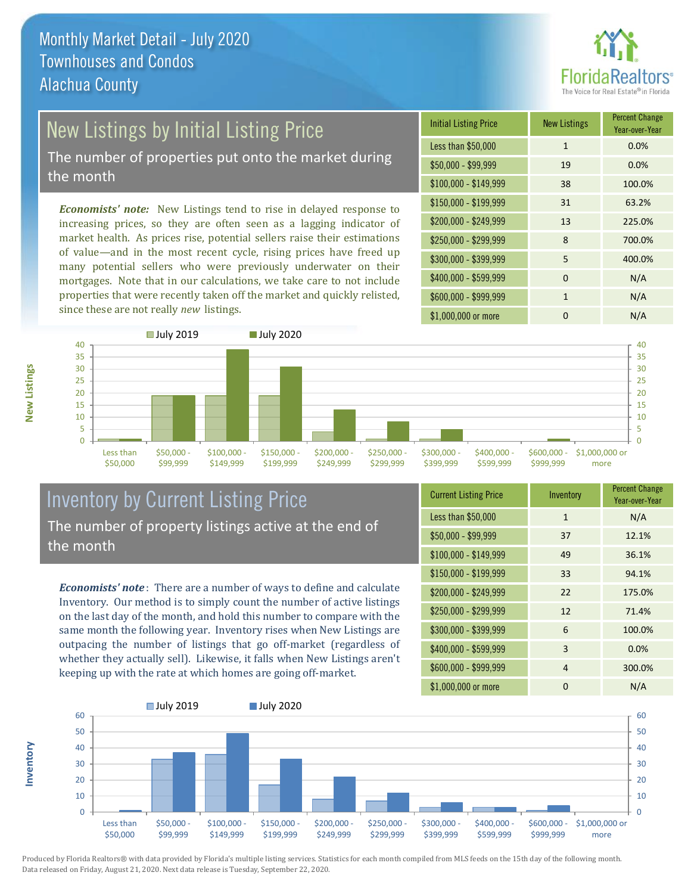

# New Listings by Initial Listing Price

The number of properties put onto the market during the month

*Economists' note:* New Listings tend to rise in delayed response to increasing prices, so they are often seen as a lagging indicator of market health. As prices rise, potential sellers raise their estimations of value—and in the most recent cycle, rising prices have freed up many potential sellers who were previously underwater on their mortgages. Note that in our calculations, we take care to not include properties that were recently taken off the market and quickly relisted, since these are not really *new* listings.

| <b>Initial Listing Price</b> | <b>New Listings</b> | <b>Percent Change</b><br>Year-over-Year |
|------------------------------|---------------------|-----------------------------------------|
| Less than \$50,000           | $\mathbf{1}$        | 0.0%                                    |
| $$50,000 - $99,999$          | 19                  | 0.0%                                    |
| $$100,000 - $149,999$        | 38                  | 100.0%                                  |
| $$150,000 - $199,999$        | 31                  | 63.2%                                   |
| \$200,000 - \$249,999        | 13                  | 225.0%                                  |
| \$250,000 - \$299,999        | 8                   | 700.0%                                  |
| \$300,000 - \$399,999        | 5                   | 400.0%                                  |
| \$400,000 - \$599,999        | $\Omega$            | N/A                                     |
| \$600,000 - \$999,999        | 1                   | N/A                                     |
| \$1,000,000 or more          | n                   | N/A                                     |



## Inventory by Current Listing Price The number of property listings active at the end of the month

*Economists' note* : There are a number of ways to define and calculate Inventory. Our method is to simply count the number of active listings on the last day of the month, and hold this number to compare with the same month the following year. Inventory rises when New Listings are outpacing the number of listings that go off-market (regardless of whether they actually sell). Likewise, it falls when New Listings aren't keeping up with the rate at which homes are going off-market.

| <b>Current Listing Price</b> | Inventory    | <b>Percent Change</b><br>Year-over-Year |
|------------------------------|--------------|-----------------------------------------|
| Less than \$50,000           | $\mathbf{1}$ | N/A                                     |
| $$50,000 - $99,999$          | 37           | 12.1%                                   |
| $$100,000 - $149,999$        | 49           | 36.1%                                   |
| $$150,000 - $199,999$        | 33           | 94.1%                                   |
| \$200,000 - \$249,999        | 22           | 175.0%                                  |
| \$250,000 - \$299,999        | 12           | 71.4%                                   |
| \$300,000 - \$399,999        | 6            | 100.0%                                  |
| \$400,000 - \$599,999        | 3            | 0.0%                                    |
| \$600,000 - \$999,999        | 4            | 300.0%                                  |
| \$1,000,000 or more          | 0            | N/A                                     |



Produced by Florida Realtors® with data provided by Florida's multiple listing services. Statistics for each month compiled from MLS feeds on the 15th day of the following month. Data released on Friday, August 21, 2020. Next data release is Tuesday, September 22, 2020.

**Inventory**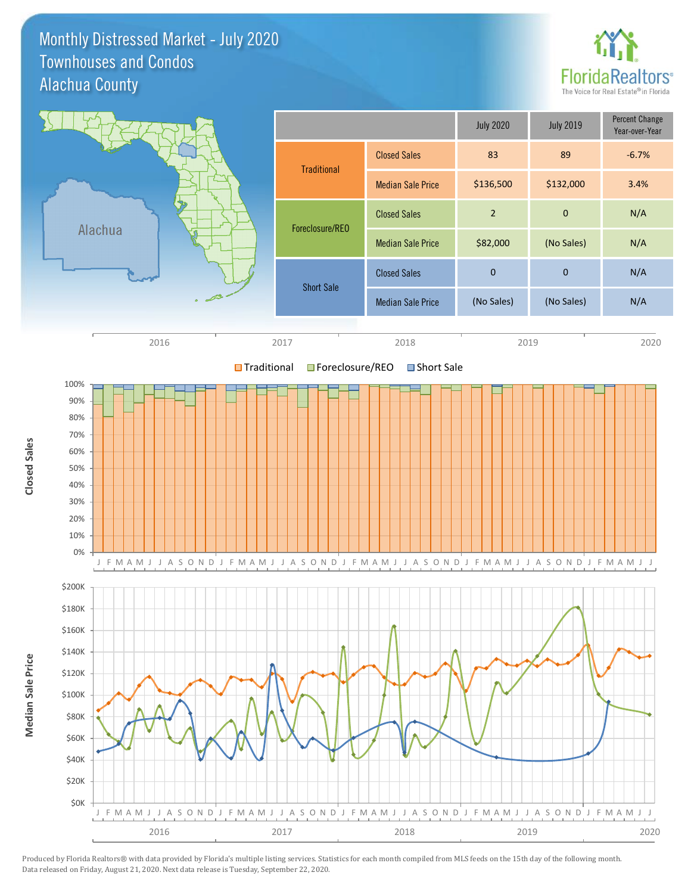Monthly Distressed Market - July 2020 Alachua County Townhouses and Condos



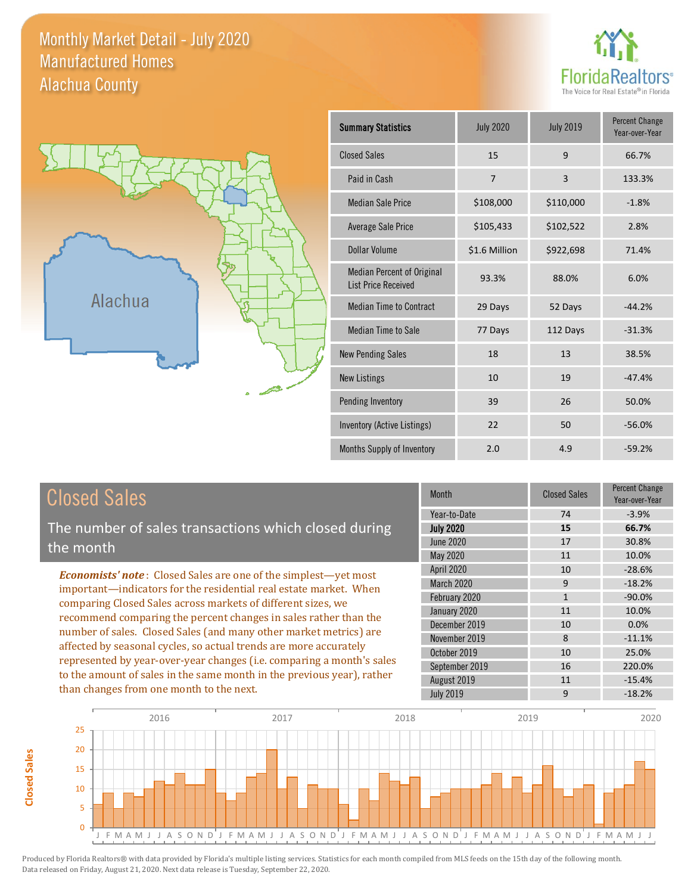### Monthly Market Detail - July 2020 Alachua County Manufactured Homes

**Closed Sales**

**Closed Sales** 





| <b>Summary Statistics</b>                                       | <b>July 2020</b> | <b>July 2019</b> | <b>Percent Change</b><br>Year-over-Year |
|-----------------------------------------------------------------|------------------|------------------|-----------------------------------------|
| <b>Closed Sales</b>                                             | 15               | 9                | 66.7%                                   |
| Paid in Cash                                                    | 7                | $\overline{3}$   | 133.3%                                  |
| <b>Median Sale Price</b>                                        | \$108,000        | \$110,000        | $-1.8%$                                 |
| Average Sale Price                                              | \$105,433        | \$102,522        | 2.8%                                    |
| Dollar Volume                                                   | \$1.6 Million    | \$922,698        | 71.4%                                   |
| <b>Median Percent of Original</b><br><b>List Price Received</b> | 93.3%            | 88.0%            | 6.0%                                    |
| <b>Median Time to Contract</b>                                  | 29 Days          | 52 Days          | $-44.2%$                                |
| <b>Median Time to Sale</b>                                      | 77 Days          | 112 Days         | $-31.3%$                                |
| <b>New Pending Sales</b>                                        | 18               | 13               | 38.5%                                   |
| <b>New Listings</b>                                             | 10               | 19               | $-47.4%$                                |
| Pending Inventory                                               | 39               | 26               | 50.0%                                   |
| Inventory (Active Listings)                                     | 22               | 50               | $-56.0%$                                |
| Months Supply of Inventory                                      | 2.0              | 4.9              | $-59.2%$                                |

| <b>Closed Sales</b>                                                                                                                                                                                                                                                                                                                                                                                                                                                                                                                                                                                                      | Month                                                                                                                                               | <b>Closed Sales</b>                                        | <b>Percent Change</b><br>Year-over-Year                                                       |
|--------------------------------------------------------------------------------------------------------------------------------------------------------------------------------------------------------------------------------------------------------------------------------------------------------------------------------------------------------------------------------------------------------------------------------------------------------------------------------------------------------------------------------------------------------------------------------------------------------------------------|-----------------------------------------------------------------------------------------------------------------------------------------------------|------------------------------------------------------------|-----------------------------------------------------------------------------------------------|
| The number of sales transactions which closed during<br>the month                                                                                                                                                                                                                                                                                                                                                                                                                                                                                                                                                        | Year-to-Date<br><b>July 2020</b><br>June 2020<br>May 2020                                                                                           | 74<br>15<br>17<br>11                                       | $-3.9%$<br>66.7%<br>30.8%<br>10.0%                                                            |
| <b>Economists' note:</b> Closed Sales are one of the simplest—yet most<br>important—indicators for the residential real estate market. When<br>comparing Closed Sales across markets of different sizes, we<br>recommend comparing the percent changes in sales rather than the<br>number of sales. Closed Sales (and many other market metrics) are<br>affected by seasonal cycles, so actual trends are more accurately<br>represented by year-over-year changes (i.e. comparing a month's sales<br>to the amount of sales in the same month in the previous year), rather<br>than changes from one month to the next. | <b>April 2020</b><br>March 2020<br>February 2020<br>January 2020<br>December 2019<br>November 2019<br>October 2019<br>September 2019<br>August 2019 | 10<br>9<br>$\mathbf{1}$<br>11<br>10<br>8<br>10<br>16<br>11 | $-28.6%$<br>$-18.2%$<br>$-90.0\%$<br>10.0%<br>0.0%<br>$-11.1%$<br>25.0%<br>220.0%<br>$-15.4%$ |
|                                                                                                                                                                                                                                                                                                                                                                                                                                                                                                                                                                                                                          | <b>July 2019</b>                                                                                                                                    | 9                                                          | $-18.2%$                                                                                      |

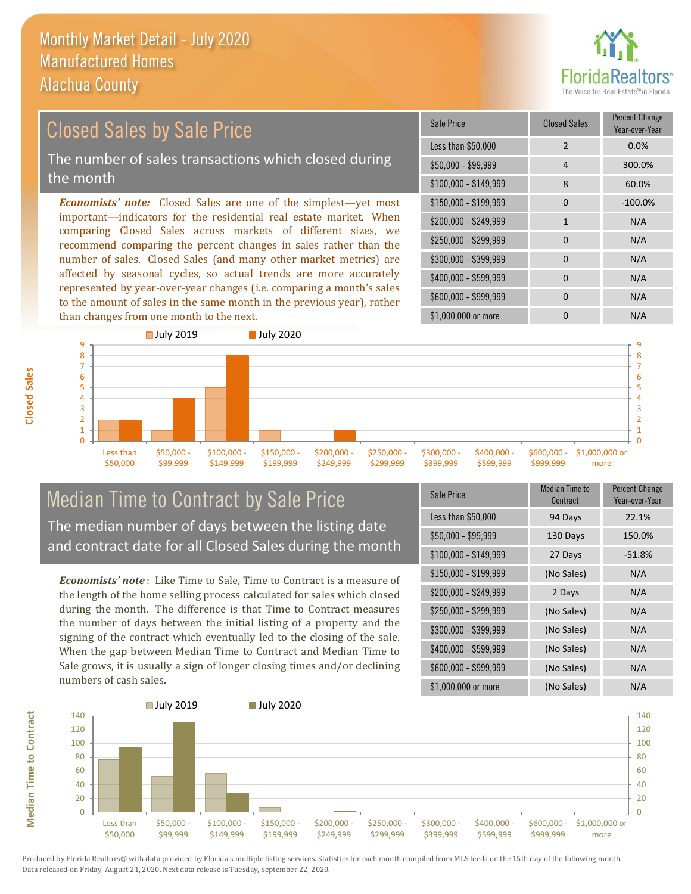

### \$100,000 - \$149,999 8 60.0% Sale Price Closed Sales Percent Change Year-over-Year Less than \$50,000 2 0.0% \$50,000 - \$99,999 4 300.0% \$150,000 - \$199,999 0 -100.0%  $$200,000 - $249,999$  1 N/A  $$400,000 - $599,999$  0 N/A \$600,000 - \$999,999 0 0 N/A *Economists' note:* Closed Sales are one of the simplest—yet most important—indicators for the residential real estate market. When comparing Closed Sales across markets of different sizes, we recommend comparing the percent changes in sales rather than the number of sales. Closed Sales (and many other market metrics) are affected by seasonal cycles, so actual trends are more accurately represented by year-over-year changes (i.e. comparing a month's sales to the amount of sales in the same month in the previous year), rather \$250,000 - \$299,999 0 0 N/A \$300,000 - \$399,999 0 0 N/A Closed Sales by Sale Price The number of sales transactions which closed during the month



### Median Time to Contract by Sale Price The median number of days between the listing date and contract date for all Closed Sales during the month

*Economists' note* : Like Time to Sale, Time to Contract is a measure of the length of the home selling process calculated for sales which closed during the month. The difference is that Time to Contract measures the number of days between the initial listing of a property and the signing of the contract which eventually led to the closing of the sale. When the gap between Median Time to Contract and Median Time to Sale grows, it is usually a sign of longer closing times and/or declining numbers of cash sales.

| Sale Price            | <b>Median Time to</b><br>Contract | <b>Percent Change</b><br>Year-over-Year |
|-----------------------|-----------------------------------|-----------------------------------------|
| Less than \$50,000    | 94 Days                           | 22.1%                                   |
| $$50,000 - $99,999$   | 130 Days                          | 150.0%                                  |
| $$100,000 - $149,999$ | 27 Days                           | $-51.8%$                                |
| $$150,000 - $199,999$ | (No Sales)                        | N/A                                     |
| \$200,000 - \$249,999 | 2 Days                            | N/A                                     |
| \$250,000 - \$299,999 | (No Sales)                        | N/A                                     |
| \$300,000 - \$399,999 | (No Sales)                        | N/A                                     |
| \$400,000 - \$599,999 | (No Sales)                        | N/A                                     |
| \$600,000 - \$999,999 | (No Sales)                        | N/A                                     |
| \$1,000,000 or more   | (No Sales)                        | N/A                                     |

\$1,000,000 or more 0 0 N/A



Produced by Florida Realtors® with data provided by Florida's multiple listing services. Statistics for each month compiled from MLS feeds on the 15th day of the following month. Data released on Friday, August 21, 2020. Next data release is Tuesday, September 22, 2020.

**Median Time to Contract**

**Median Time to Contract**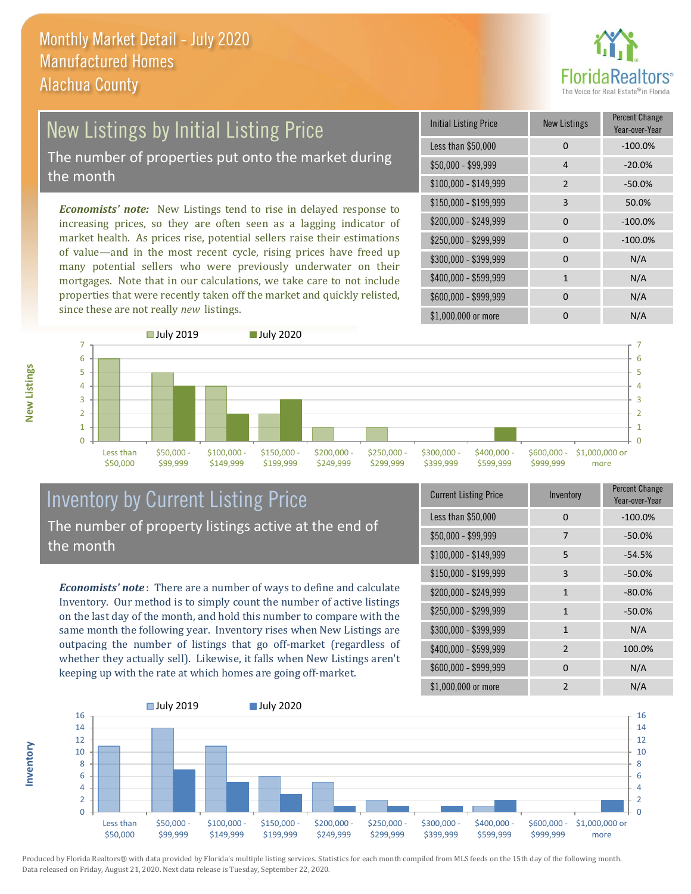

### New Listings by Initial Listing Price The number of properties put onto the market during the month

*Economists' note:* New Listings tend to rise in delayed response to increasing prices, so they are often seen as a lagging indicator of market health. As prices rise, potential sellers raise their estimations of value—and in the most recent cycle, rising prices have freed up many potential sellers who were previously underwater on their mortgages. Note that in our calculations, we take care to not include properties that were recently taken off the market and quickly relisted, since these are not really *new* listings.

| <b>Initial Listing Price</b> | <b>New Listings</b> | <b>Percent Change</b><br>Year-over-Year |
|------------------------------|---------------------|-----------------------------------------|
| Less than \$50,000           | 0                   | $-100.0%$                               |
| $$50,000 - $99,999$          | 4                   | $-20.0%$                                |
| $$100,000 - $149,999$        | $\mathcal{P}$       | $-50.0%$                                |
| $$150,000 - $199,999$        | 3                   | 50.0%                                   |
| \$200,000 - \$249,999        | $\Omega$            | $-100.0%$                               |
| \$250,000 - \$299,999        | 0                   | $-100.0%$                               |
| \$300,000 - \$399,999        | 0                   | N/A                                     |
| \$400,000 - \$599,999        | $\mathbf{1}$        | N/A                                     |
| \$600,000 - \$999,999        | $\Omega$            | N/A                                     |
| \$1,000,000 or more          | n                   | N/A                                     |



### Inventory by Current Listing Price The number of property listings active at the end of the month

*Economists' note* : There are a number of ways to define and calculate Inventory. Our method is to simply count the number of active listings on the last day of the month, and hold this number to compare with the same month the following year. Inventory rises when New Listings are outpacing the number of listings that go off-market (regardless of whether they actually sell). Likewise, it falls when New Listings aren't keeping up with the rate at which homes are going off-market.

**Inventory**

**New Listings**

| <b>Current Listing Price</b> | Inventory      | Percent Change<br>Year-over-Year |
|------------------------------|----------------|----------------------------------|
| Less than \$50,000           | 0              | $-100.0%$                        |
| $$50,000 - $99,999$          | 7              | $-50.0%$                         |
| \$100,000 - \$149,999        | 5              | $-54.5%$                         |
| $$150,000 - $199,999$        | 3              | $-50.0%$                         |
| \$200,000 - \$249,999        | 1              | $-80.0%$                         |
| \$250,000 - \$299,999        | $\mathbf{1}$   | $-50.0%$                         |
| \$300,000 - \$399,999        | $\mathbf{1}$   | N/A                              |
| \$400,000 - \$599,999        | $\overline{2}$ | 100.0%                           |
| \$600,000 - \$999,999        | <sup>0</sup>   | N/A                              |
| \$1,000,000 or more          | $\mathfrak{p}$ | N/A                              |